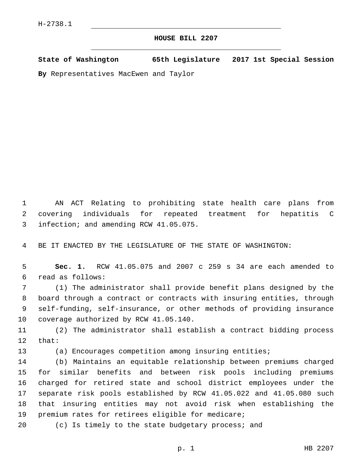## **HOUSE BILL 2207**

**State of Washington 65th Legislature 2017 1st Special Session**

**By** Representatives MacEwen and Taylor

1 AN ACT Relating to prohibiting state health care plans from 2 covering individuals for repeated treatment for hepatitis C 3 infection; and amending RCW 41.05.075.

4 BE IT ENACTED BY THE LEGISLATURE OF THE STATE OF WASHINGTON:

5 **Sec. 1.** RCW 41.05.075 and 2007 c 259 s 34 are each amended to read as follows:6

 (1) The administrator shall provide benefit plans designed by the board through a contract or contracts with insuring entities, through self-funding, self-insurance, or other methods of providing insurance 10 coverage authorized by RCW 41.05.140.

11 (2) The administrator shall establish a contract bidding process 12 that:

13 (a) Encourages competition among insuring entities;

 (b) Maintains an equitable relationship between premiums charged for similar benefits and between risk pools including premiums charged for retired state and school district employees under the separate risk pools established by RCW 41.05.022 and 41.05.080 such that insuring entities may not avoid risk when establishing the 19 premium rates for retirees eligible for medicare;

20 (c) Is timely to the state budgetary process; and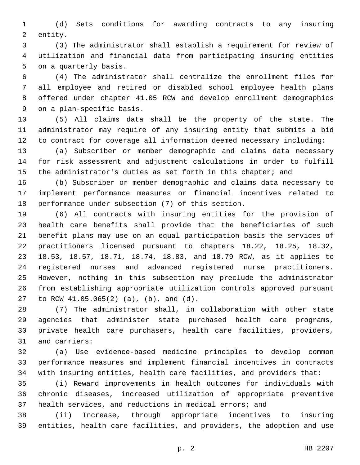(d) Sets conditions for awarding contracts to any insuring 2 entity.

 (3) The administrator shall establish a requirement for review of utilization and financial data from participating insuring entities 5 on a quarterly basis.

 (4) The administrator shall centralize the enrollment files for all employee and retired or disabled school employee health plans offered under chapter 41.05 RCW and develop enrollment demographics 9 on a plan-specific basis.

 (5) All claims data shall be the property of the state. The administrator may require of any insuring entity that submits a bid to contract for coverage all information deemed necessary including:

 (a) Subscriber or member demographic and claims data necessary for risk assessment and adjustment calculations in order to fulfill 15 the administrator's duties as set forth in this chapter; and

 (b) Subscriber or member demographic and claims data necessary to implement performance measures or financial incentives related to 18 performance under subsection (7) of this section.

 (6) All contracts with insuring entities for the provision of health care benefits shall provide that the beneficiaries of such benefit plans may use on an equal participation basis the services of practitioners licensed pursuant to chapters 18.22, 18.25, 18.32, 18.53, 18.57, 18.71, 18.74, 18.83, and 18.79 RCW, as it applies to registered nurses and advanced registered nurse practitioners. However, nothing in this subsection may preclude the administrator from establishing appropriate utilization controls approved pursuant 27 to RCW 41.05.065(2) (a), (b), and (d).

 (7) The administrator shall, in collaboration with other state agencies that administer state purchased health care programs, private health care purchasers, health care facilities, providers, 31 and carriers:

 (a) Use evidence-based medicine principles to develop common performance measures and implement financial incentives in contracts with insuring entities, health care facilities, and providers that:

 (i) Reward improvements in health outcomes for individuals with chronic diseases, increased utilization of appropriate preventive health services, and reductions in medical errors; and

 (ii) Increase, through appropriate incentives to insuring entities, health care facilities, and providers, the adoption and use